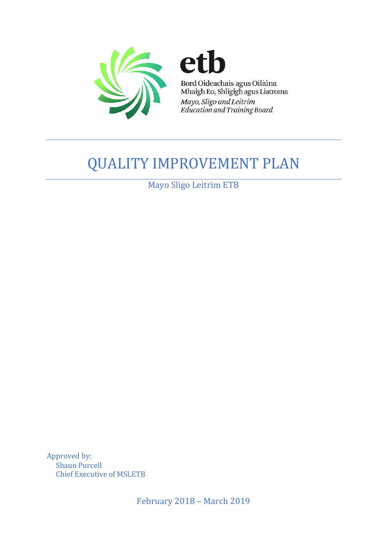

## **QUALITY IMPROVEMENT PLAN**

Mayo Sligo Leitrim ETB

Approved by: **Shaun Purcell** Chief Executive of MSLETB

February 2018 - March 2019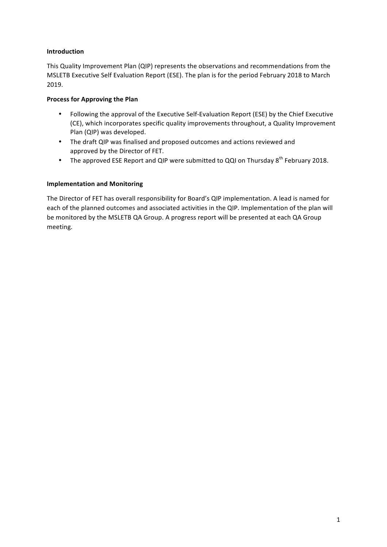## **Introduction**

This Quality Improvement Plan (QIP) represents the observations and recommendations from the MSLETB Executive Self Evaluation Report (ESE). The plan is for the period February 2018 to March 2019.

## **Process for Approving the Plan**

- Following the approval of the Executive Self-Evaluation Report (ESE) by the Chief Executive (CE), which incorporates specific quality improvements throughout, a Quality Improvement Plan (QIP) was developed.
- The draft QIP was finalised and proposed outcomes and actions reviewed and approved by the Director of FET.
- The approved ESE Report and QIP were submitted to QQI on Thursday  $8^{th}$  February 2018.

## **Implementation and Monitoring**

The Director of FET has overall responsibility for Board's QIP implementation. A lead is named for each of the planned outcomes and associated activities in the QIP. Implementation of the plan will be monitored by the MSLETB QA Group. A progress report will be presented at each QA Group meeting.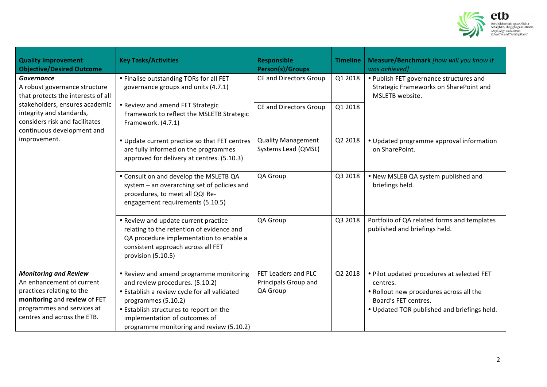

| <b>Quality Improvement</b><br><b>Objective/Desired Outcome</b>                                                                                                                                                                         | <b>Key Tasks/Activities</b>                                                                                                                                                                                                                                               | Responsible<br><b>Person(s)/Groups</b>                  | <b>Timeline</b> | Measure/Benchmark [how will you know it<br>was achieved]                                                                                                                 |
|----------------------------------------------------------------------------------------------------------------------------------------------------------------------------------------------------------------------------------------|---------------------------------------------------------------------------------------------------------------------------------------------------------------------------------------------------------------------------------------------------------------------------|---------------------------------------------------------|-----------------|--------------------------------------------------------------------------------------------------------------------------------------------------------------------------|
| <b>Governance</b><br>A robust governance structure<br>that protects the interests of all<br>stakeholders, ensures academic<br>integrity and standards,<br>considers risk and facilitates<br>continuous development and<br>improvement. | • Finalise outstanding TORs for all FET<br>governance groups and units (4.7.1)<br>• Review and amend FET Strategic<br>Framework to reflect the MSLETB Strategic<br>Framework. (4.7.1)                                                                                     | <b>CE and Directors Group</b>                           | Q1 2018         | • Publish FET governance structures and<br>Strategic Frameworks on SharePoint and<br>MSLETB website.                                                                     |
|                                                                                                                                                                                                                                        |                                                                                                                                                                                                                                                                           | <b>CE and Directors Group</b>                           | Q1 2018         |                                                                                                                                                                          |
|                                                                                                                                                                                                                                        | • Update current practice so that FET centres<br>are fully informed on the programmes<br>approved for delivery at centres. (5.10.3)                                                                                                                                       | <b>Quality Management</b><br>Systems Lead (QMSL)        | Q2 2018         | • Updated programme approval information<br>on SharePoint.                                                                                                               |
|                                                                                                                                                                                                                                        | . Consult on and develop the MSLETB QA<br>system - an overarching set of policies and<br>procedures, to meet all QQI Re-<br>engagement requirements (5.10.5)                                                                                                              | QA Group                                                | Q3 2018         | . New MSLEB QA system published and<br>briefings held.                                                                                                                   |
|                                                                                                                                                                                                                                        | • Review and update current practice<br>relating to the retention of evidence and<br>QA procedure implementation to enable a<br>consistent approach across all FET<br>provision (5.10.5)                                                                                  | QA Group                                                | Q3 2018         | Portfolio of QA related forms and templates<br>published and briefings held.                                                                                             |
| <b>Monitoring and Review</b><br>An enhancement of current<br>practices relating to the<br>monitoring and review of FET<br>programmes and services at<br>centres and across the ETB.                                                    | • Review and amend programme monitoring<br>and review procedures. (5.10.2)<br>• Establish a review cycle for all validated<br>programmes (5.10.2)<br>• Establish structures to report on the<br>implementation of outcomes of<br>programme monitoring and review (5.10.2) | FET Leaders and PLC<br>Principals Group and<br>QA Group | Q2 2018         | . Pilot updated procedures at selected FET<br>centres.<br>. Rollout new procedures across all the<br>Board's FET centres.<br>. Updated TOR published and briefings held. |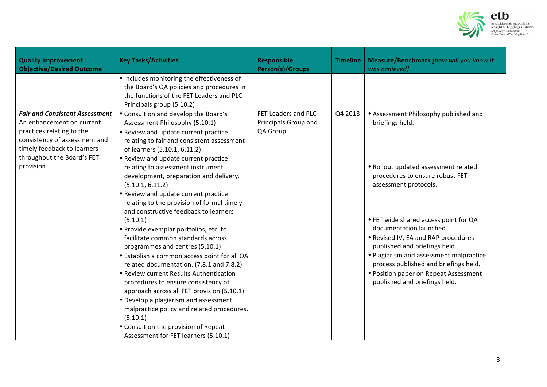

| <b>Quality Improvement</b><br><b>Objective/Desired Outcome</b>                                                                                                                                              | <b>Key Tasks/Activities</b>                                                                                                                                                                                                                                                                                                                                                                                                                                                                                                                                                                                                                                                                                                                                                                                                                                                                                                                                                                                          | <b>Responsible</b><br><b>Person(s)/Groups</b>           | <b>Timeline</b> | Measure/Benchmark [how will you know it<br>was achieved]                                                                                                                                                                                                                                                                                                                                                                                                               |
|-------------------------------------------------------------------------------------------------------------------------------------------------------------------------------------------------------------|----------------------------------------------------------------------------------------------------------------------------------------------------------------------------------------------------------------------------------------------------------------------------------------------------------------------------------------------------------------------------------------------------------------------------------------------------------------------------------------------------------------------------------------------------------------------------------------------------------------------------------------------------------------------------------------------------------------------------------------------------------------------------------------------------------------------------------------------------------------------------------------------------------------------------------------------------------------------------------------------------------------------|---------------------------------------------------------|-----------------|------------------------------------------------------------------------------------------------------------------------------------------------------------------------------------------------------------------------------------------------------------------------------------------------------------------------------------------------------------------------------------------------------------------------------------------------------------------------|
|                                                                                                                                                                                                             | • Includes monitoring the effectiveness of<br>the Board's QA policies and procedures in<br>the functions of the FET Leaders and PLC<br>Principals group (5.10.2)                                                                                                                                                                                                                                                                                                                                                                                                                                                                                                                                                                                                                                                                                                                                                                                                                                                     |                                                         |                 |                                                                                                                                                                                                                                                                                                                                                                                                                                                                        |
| <b>Fair and Consistent Assessment</b><br>An enhancement on current<br>practices relating to the<br>consistency of assessment and<br>timely feedback to learners<br>throughout the Board's FET<br>provision. | • Consult on and develop the Board's<br>Assessment Philosophy (5.10.1)<br>• Review and update current practice<br>relating to fair and consistent assessment<br>of learners (5.10.1, 6.11.2)<br>• Review and update current practice<br>relating to assessment instrument<br>development, preparation and delivery.<br>(5.10.1, 6.11.2)<br>• Review and update current practice<br>relating to the provision of formal timely<br>and constructive feedback to learners<br>(5.10.1)<br>• Provide exemplar portfolios, etc. to<br>facilitate common standards across<br>programmes and centres (5.10.1)<br>• Establish a common access point for all QA<br>related documentation. (7.8.1 and 7.8.2)<br>• Review current Results Authentication<br>procedures to ensure consistency of<br>approach across all FET provision (5.10.1)<br>• Develop a plagiarism and assessment<br>malpractice policy and related procedures.<br>(5.10.1)<br>• Consult on the provision of Repeat<br>Assessment for FET learners (5.10.1) | FET Leaders and PLC<br>Principals Group and<br>QA Group | Q4 2018         | • Assessment Philosophy published and<br>briefings held.<br>• Rollout updated assessment related<br>procedures to ensure robust FET<br>assessment protocols.<br>• FET wide shared access point for QA<br>documentation launched.<br>• Revised IV, EA and RAP procedures<br>published and briefings held.<br>• Plagiarism and assessment malpractice<br>process published and briefings held.<br>• Position paper on Repeat Assessment<br>published and briefings held. |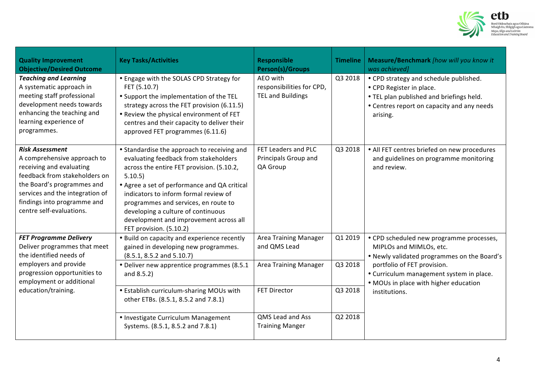

| <b>Quality Improvement</b><br><b>Objective/Desired Outcome</b>                                                                                                                                                                                 | <b>Key Tasks/Activities</b>                                                                                                                                                                                                                                                                                                                                                              | <b>Responsible</b><br><b>Person(s)/Groups</b>                     | <b>Timeline</b> | Measure/Benchmark [how will you know it<br>was achieved]                                                                                                                                                                                                |
|------------------------------------------------------------------------------------------------------------------------------------------------------------------------------------------------------------------------------------------------|------------------------------------------------------------------------------------------------------------------------------------------------------------------------------------------------------------------------------------------------------------------------------------------------------------------------------------------------------------------------------------------|-------------------------------------------------------------------|-----------------|---------------------------------------------------------------------------------------------------------------------------------------------------------------------------------------------------------------------------------------------------------|
| <b>Teaching and Learning</b><br>A systematic approach in<br>meeting staff professional<br>development needs towards<br>enhancing the teaching and<br>learning experience of<br>programmes.                                                     | • Engage with the SOLAS CPD Strategy for<br>FET (5.10.7)<br>• Support the implementation of the TEL<br>strategy across the FET provision (6.11.5)<br>. Review the physical environment of FET<br>centres and their capacity to deliver their<br>approved FET programmes (6.11.6)                                                                                                         | AEO with<br>responsibilities for CPD,<br><b>TEL and Buildings</b> | Q3 2018         | • CPD strategy and schedule published.<br>• CPD Register in place.<br>. TEL plan published and briefings held.<br>• Centres report on capacity and any needs<br>arising.                                                                                |
| <b>Risk Assessment</b><br>A comprehensive approach to<br>receiving and evaluating<br>feedback from stakeholders on<br>the Board's programmes and<br>services and the integration of<br>findings into programme and<br>centre self-evaluations. | • Standardise the approach to receiving and<br>evaluating feedback from stakeholders<br>across the entire FET provision. (5.10.2,<br>5.10.5)<br>• Agree a set of performance and QA critical<br>indicators to inform formal review of<br>programmes and services, en route to<br>developing a culture of continuous<br>development and improvement across all<br>FET provision. (5.10.2) | FET Leaders and PLC<br>Principals Group and<br>QA Group           | Q3 2018         | • All FET centres briefed on new procedures<br>and guidelines on programme monitoring<br>and review.                                                                                                                                                    |
| <b>FET Programme Delivery</b><br>Deliver programmes that meet<br>the identified needs of<br>employers and provide<br>progression opportunities to<br>employment or additional<br>education/training.                                           | . Build on capacity and experience recently<br>gained in developing new programmes.<br>$(8.5.1, 8.5.2 \text{ and } 5.10.7)$                                                                                                                                                                                                                                                              | Area Training Manager<br>and QMS Lead                             | Q1 2019         | • CPD scheduled new programme processes,<br>MIPLOs and MIMLOs, etc.<br>. Newly validated programmes on the Board's<br>portfolio of FET provision.<br>• Curriculum management system in place.<br>• MOUs in place with higher education<br>institutions. |
|                                                                                                                                                                                                                                                | • Deliver new apprentice programmes (8.5.1)<br>and 8.5.2)                                                                                                                                                                                                                                                                                                                                | Area Training Manager                                             | Q3 2018         |                                                                                                                                                                                                                                                         |
|                                                                                                                                                                                                                                                | • Establish curriculum-sharing MOUs with<br>other ETBs. (8.5.1, 8.5.2 and 7.8.1)                                                                                                                                                                                                                                                                                                         | <b>FET Director</b>                                               | Q3 2018         |                                                                                                                                                                                                                                                         |
|                                                                                                                                                                                                                                                | • Investigate Curriculum Management<br>Systems. (8.5.1, 8.5.2 and 7.8.1)                                                                                                                                                                                                                                                                                                                 | QMS Lead and Ass<br><b>Training Manger</b>                        | Q2 2018         |                                                                                                                                                                                                                                                         |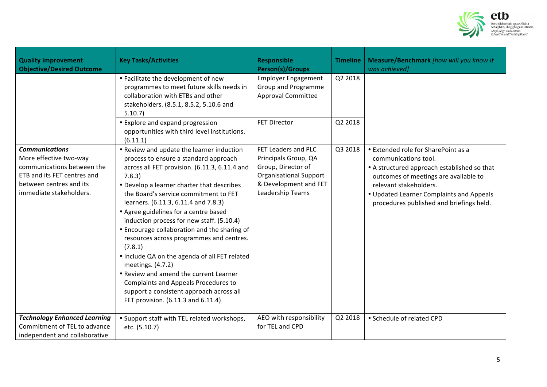

| <b>Quality Improvement</b><br><b>Objective/Desired Outcome</b>                                                                                                     | <b>Key Tasks/Activities</b>                                                                                                                                                                                                                                                                                                                                                                                                                                                                                                                                                                                                                                                                                         | <b>Responsible</b><br><b>Person(s)/Groups</b>                                                                                                   | <b>Timeline</b> | Measure/Benchmark [how will you know it<br>was achieved]                                                                                                                                                                                                              |
|--------------------------------------------------------------------------------------------------------------------------------------------------------------------|---------------------------------------------------------------------------------------------------------------------------------------------------------------------------------------------------------------------------------------------------------------------------------------------------------------------------------------------------------------------------------------------------------------------------------------------------------------------------------------------------------------------------------------------------------------------------------------------------------------------------------------------------------------------------------------------------------------------|-------------------------------------------------------------------------------------------------------------------------------------------------|-----------------|-----------------------------------------------------------------------------------------------------------------------------------------------------------------------------------------------------------------------------------------------------------------------|
|                                                                                                                                                                    | • Facilitate the development of new<br>programmes to meet future skills needs in<br>collaboration with ETBs and other<br>stakeholders. (8.5.1, 8.5.2, 5.10.6 and<br>5.10.7                                                                                                                                                                                                                                                                                                                                                                                                                                                                                                                                          | <b>Employer Engagement</b><br>Group and Programme<br><b>Approval Committee</b>                                                                  | Q2 2018         |                                                                                                                                                                                                                                                                       |
|                                                                                                                                                                    | • Explore and expand progression<br>opportunities with third level institutions.<br>(6.11.1)                                                                                                                                                                                                                                                                                                                                                                                                                                                                                                                                                                                                                        | <b>FET Director</b>                                                                                                                             | Q2 2018         |                                                                                                                                                                                                                                                                       |
| <b>Communications</b><br>More effective two-way<br>communications between the<br>ETB and its FET centres and<br>between centres and its<br>immediate stakeholders. | • Review and update the learner induction<br>process to ensure a standard approach<br>across all FET provision. (6.11.3, 6.11.4 and<br>7.8.3)<br>• Develop a learner charter that describes<br>the Board's service commitment to FET<br>learners. (6.11.3, 6.11.4 and 7.8.3)<br>• Agree guidelines for a centre based<br>induction process for new staff. (5.10.4)<br>• Encourage collaboration and the sharing of<br>resources across programmes and centres.<br>(7.8.1)<br>• Include QA on the agenda of all FET related<br>meetings. (4.7.2)<br>• Review and amend the current Learner<br>Complaints and Appeals Procedures to<br>support a consistent approach across all<br>FET provision. (6.11.3 and 6.11.4) | FET Leaders and PLC<br>Principals Group, QA<br>Group, Director of<br><b>Organisational Support</b><br>& Development and FET<br>Leadership Teams | Q3 2018         | • Extended role for SharePoint as a<br>communications tool.<br>• A structured approach established so that<br>outcomes of meetings are available to<br>relevant stakeholders.<br>• Updated Learner Complaints and Appeals<br>procedures published and briefings held. |
| <b>Technology Enhanced Learning</b><br>Commitment of TEL to advance<br>independent and collaborative                                                               | • Support staff with TEL related workshops,<br>etc. (5.10.7)                                                                                                                                                                                                                                                                                                                                                                                                                                                                                                                                                                                                                                                        | AEO with responsibility<br>for TEL and CPD                                                                                                      | Q2 2018         | • Schedule of related CPD                                                                                                                                                                                                                                             |